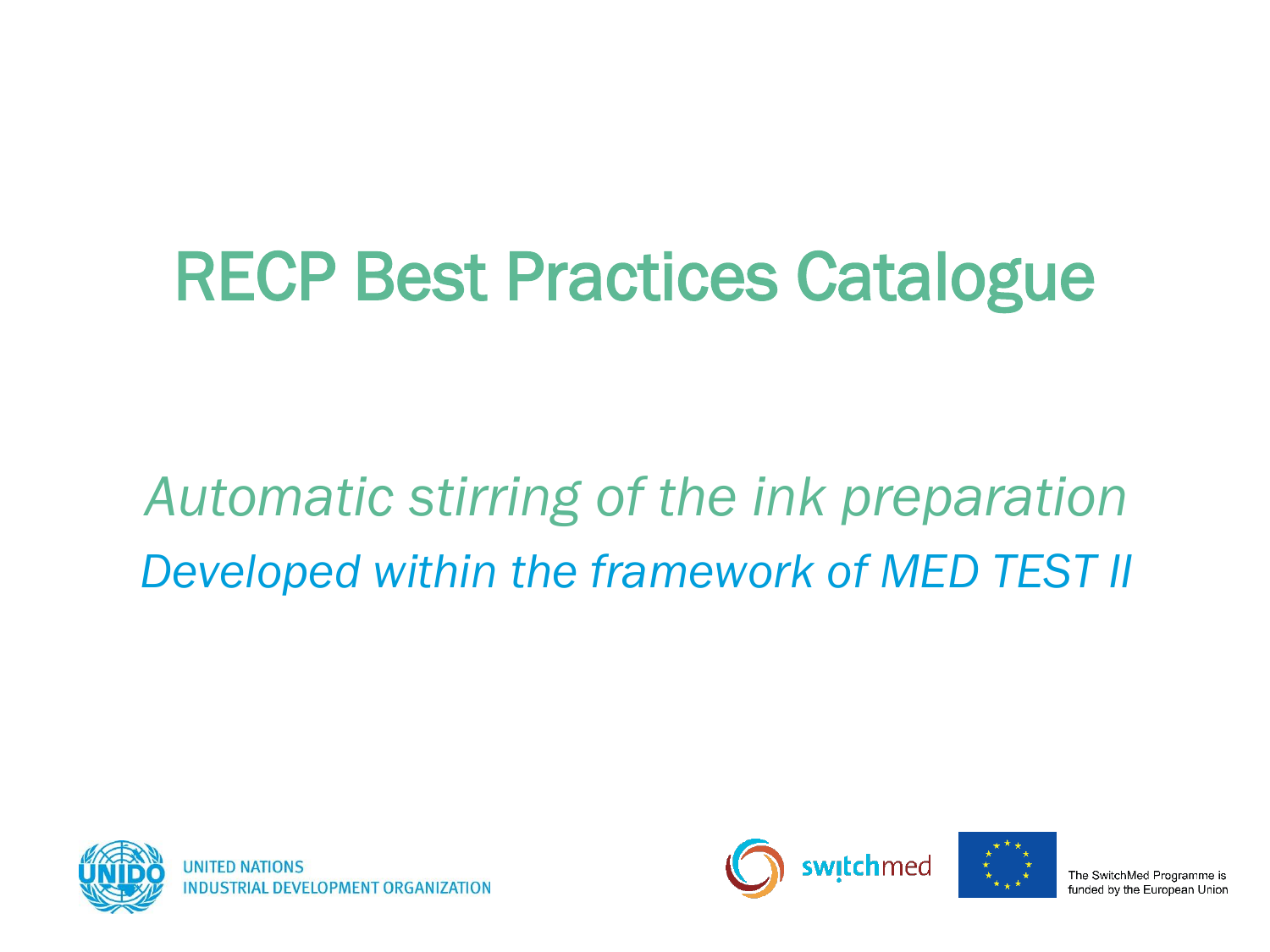# RECP Best Practices Catalogue

## *Automatic stirring of the ink preparation Developed within the framework of MED TEST II*





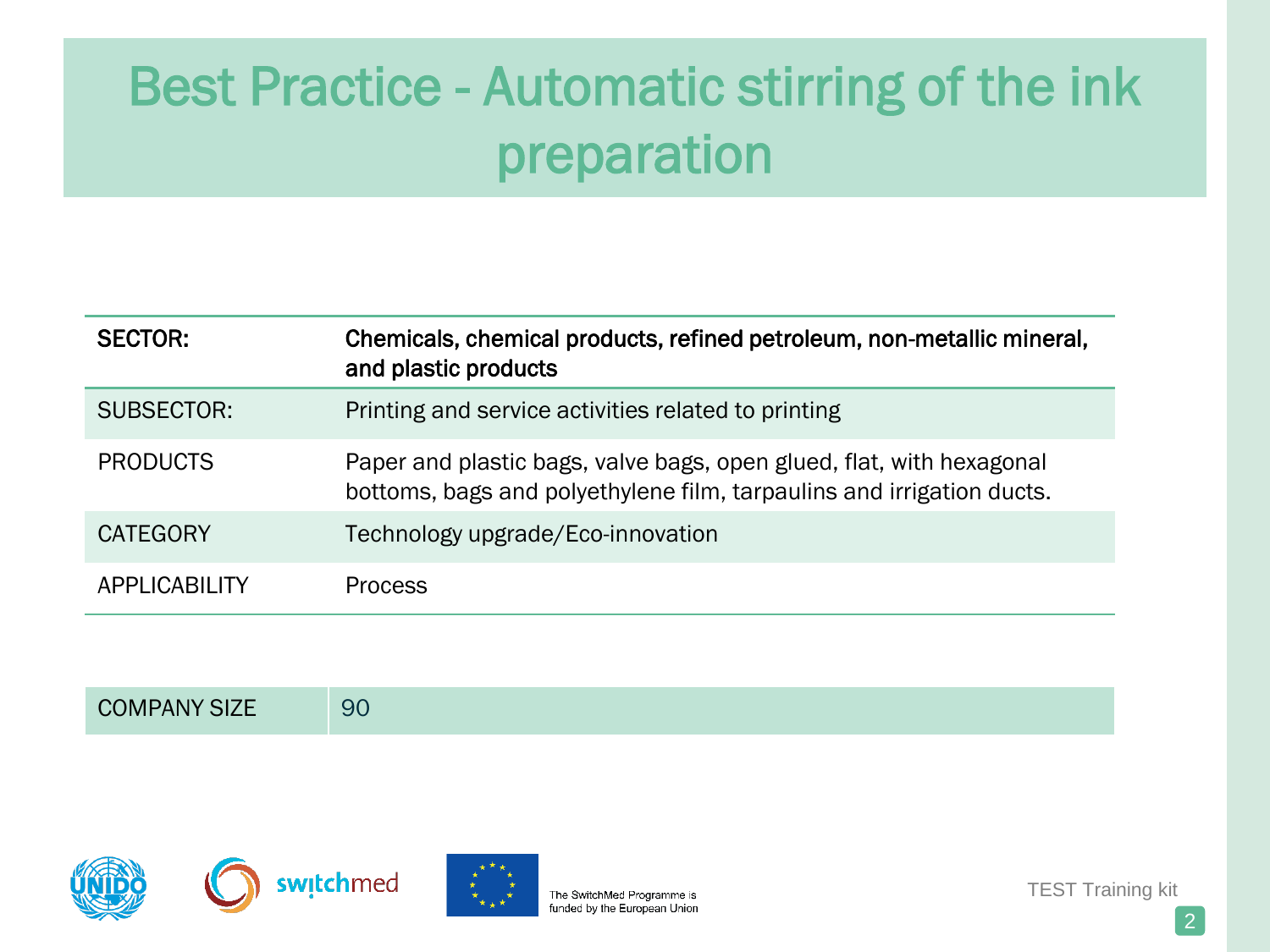| <b>SECTOR:</b>  | Chemicals, chemical products, refined petroleum, non-metallic mineral,<br>and plastic products                                                |
|-----------------|-----------------------------------------------------------------------------------------------------------------------------------------------|
| SUBSECTOR:      | Printing and service activities related to printing                                                                                           |
| <b>PRODUCTS</b> | Paper and plastic bags, valve bags, open glued, flat, with hexagonal<br>bottoms, bags and polyethylene film, tarpaulins and irrigation ducts. |
| <b>CATEGORY</b> | Technology upgrade/Eco-innovation                                                                                                             |
| APPLICABILITY   | <b>Process</b>                                                                                                                                |

| ___<br>$\sim$<br>∽.<br>u, |  |
|---------------------------|--|
|---------------------------|--|







TEST Training kit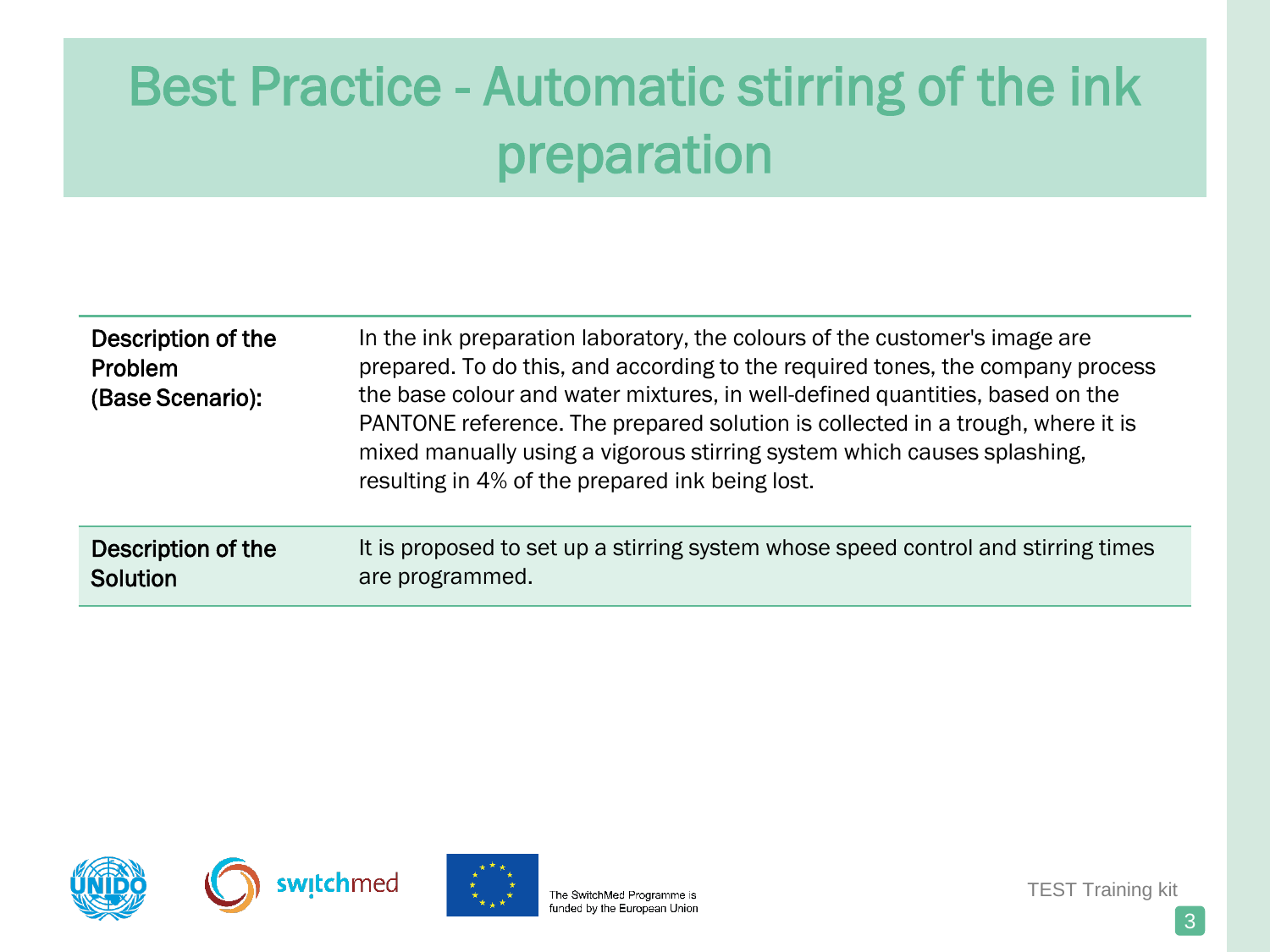| In the ink preparation laboratory, the colours of the customer's image are<br>prepared. To do this, and according to the required tones, the company process<br>the base colour and water mixtures, in well-defined quantities, based on the<br>PANTONE reference. The prepared solution is collected in a trough, where it is<br>mixed manually using a vigorous stirring system which causes splashing,<br>resulting in 4% of the prepared ink being lost. |
|--------------------------------------------------------------------------------------------------------------------------------------------------------------------------------------------------------------------------------------------------------------------------------------------------------------------------------------------------------------------------------------------------------------------------------------------------------------|
| It is proposed to set up a stirring system whose speed control and stirring times<br>are programmed.                                                                                                                                                                                                                                                                                                                                                         |
|                                                                                                                                                                                                                                                                                                                                                                                                                                                              |







The SwitchMed Programme is funded by the European Union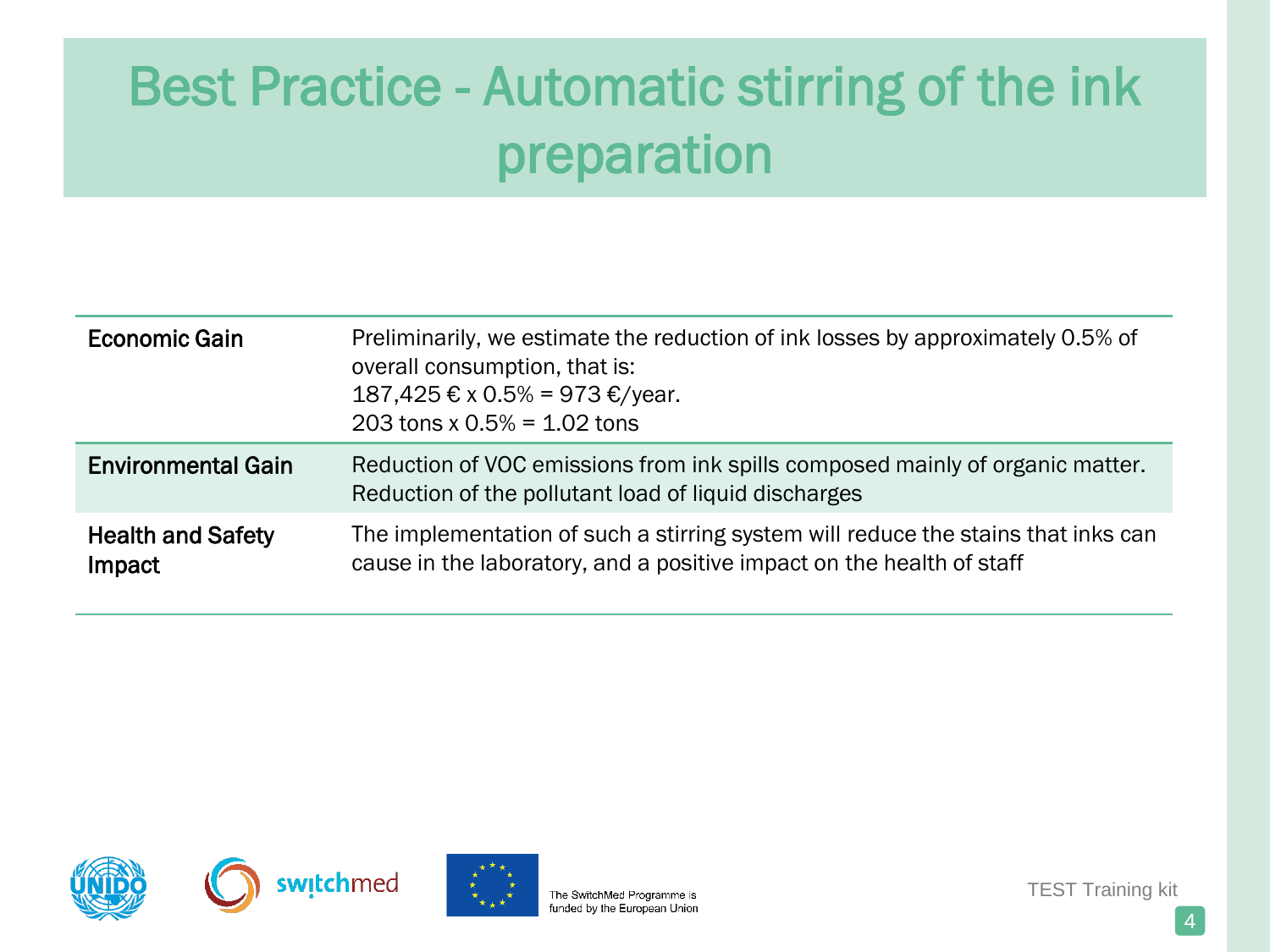| Economic Gain                      | Preliminarily, we estimate the reduction of ink losses by approximately 0.5% of<br>overall consumption, that is:<br>187,425 € x 0.5% = 973 €/year.<br>203 tons x $0.5% = 1.02$ tons |
|------------------------------------|-------------------------------------------------------------------------------------------------------------------------------------------------------------------------------------|
| <b>Environmental Gain</b>          | Reduction of VOC emissions from ink spills composed mainly of organic matter.<br>Reduction of the pollutant load of liquid discharges                                               |
| <b>Health and Safety</b><br>Impact | The implementation of such a stirring system will reduce the stains that inks can<br>cause in the laboratory, and a positive impact on the health of staff                          |







The SwitchMed Programme is funded by the European Union